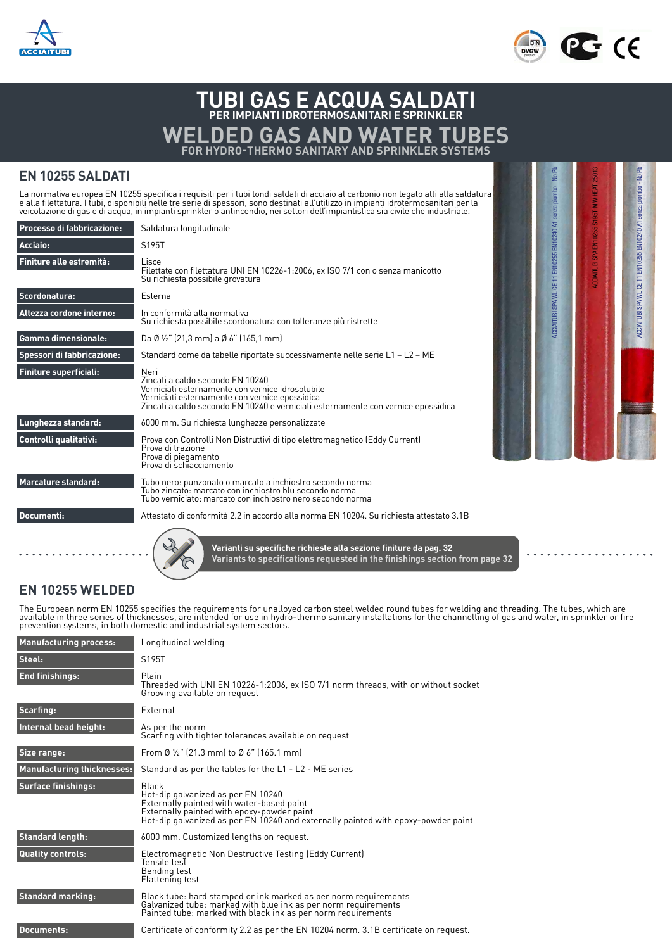



Certificazione di prodotto GOST per il mercato RUSSO

EN 10255:2004 + A1:2007

# **TUBI GAS E ACQUA SALDATI PER IMPIANTI IDROTERMOSANITARI E SPRINKLER WELDED GAS AND WATER TUBES FOR HYDRO-THERMO SANITARY AND SPRINKLER SYSTEMS**

## **EN 10255 SALDATI**

La normativa europea EN 10255 specifica i requisiti per i tubi tondi saldati di acciaio al carbonio non legato atti alla saldatura<br>e alla filettatura. I tubi, disponibili nelle tre serie di spessori, sono destinati all'uti

| Processo di fabbricazione: | Saldatura longitudinale                                                                                                                                                                                                             |
|----------------------------|-------------------------------------------------------------------------------------------------------------------------------------------------------------------------------------------------------------------------------------|
| Acciaio:                   | S195T                                                                                                                                                                                                                               |
| Finiture alle estremità:   | Lisce<br>Filettate con filettatura UNI EN 10226-1:2006, ex ISO 7/1 con o senza manicotto<br>Su richiesta possibile grovatura                                                                                                        |
| Scordonatura:              | Esterna                                                                                                                                                                                                                             |
| Altezza cordone interno:   | In conformità alla normativa<br>Su richiesta possibile scordonatura con tolleranze più ristrette                                                                                                                                    |
| <b>Gamma dimensionale:</b> | Da Ø ½" (21,3 mm) a Ø 6" (165,1 mm)                                                                                                                                                                                                 |
| Spessori di fabbricazione: | Standard come da tabelle riportate successivamente nelle serie L1 – L2 – ME                                                                                                                                                         |
| Finiture superficiali:     | Neri<br>Zincati a caldo secondo EN 10240<br>Verniciati esternamente con vernice idrosolubile<br>Verniciati esternamente con vernice epossidica<br>Zincati a caldo secondo EN 10240 e verniciati esternamente con vernice epossidica |
| Lunghezza standard:        | 6000 mm. Su richiesta lunghezze personalizzate                                                                                                                                                                                      |
| Controlli qualitativi:     | Prova con Controlli Non Distruttivi di tipo elettromagnetico (Eddy Current)<br>Prova di trazione<br>Prova di piegamento<br>Prova di schiacciamento                                                                                  |
| <b>Marcature standard:</b> | Tubo nero: punzonato o marcato a inchiostro secondo norma<br>Tubo zincato: marcato con inchiostro blu secondo norma<br>Tubo verniciato: marcato con inchiostro nero secondo norma                                                   |
| Documenti:                 | Attestato di conformità 2.2 in accordo alla norma EN 10204. Su richiesta attestato 3.1B                                                                                                                                             |



 $\ddot{\phantom{a}}$ 

### **EN 10255 WELDED**

The European norm EN 10255 specifies the requirements for unalloyed carbon steel welded round tubes for welding and threading. The tubes, which are<br>available in three series of thicknesses, are intended for use in hydro-th prevention systems, in both domestic and industrial system sectors.

**Varianti su specifiche richieste alla sezione finiture da pag. 32**

**Variants to specifications requested in the finishings section from page 32**

| <b>Manufacturing process:</b>     | Longitudinal welding                                                                                                                                                                                                        |
|-----------------------------------|-----------------------------------------------------------------------------------------------------------------------------------------------------------------------------------------------------------------------------|
| Steel:                            | S195T                                                                                                                                                                                                                       |
| <b>End finishings:</b>            | Plain<br>Threaded with UNI EN 10226-1:2006, ex ISO 7/1 norm threads, with or without socket<br>Grooving available on request                                                                                                |
| Scarfing:                         | External                                                                                                                                                                                                                    |
| Internal bead height:             | As per the norm<br>Scarfing with tighter tolerances available on request                                                                                                                                                    |
| Size range:                       | From Ø $\frac{1}{2}$ " (21.3 mm) to Ø 6" (165.1 mm)                                                                                                                                                                         |
| <b>Manufacturing thicknesses:</b> | Standard as per the tables for the L1 - L2 - ME series                                                                                                                                                                      |
| <b>Surface finishings:</b>        | Black<br>Hot-dip galvanized as per EN 10240<br>Externally painted with water-based paint<br>Externally painted with epoxy-powder paint<br>Hot-dip galvanized as per EN 10240 and externally painted with epoxy-powder paint |
| <b>Standard length:</b>           | 6000 mm. Customized lengths on request.                                                                                                                                                                                     |
| <b>Quality controls:</b>          | Electromagnetic Non Destructive Testing (Eddy Current)<br>Tensile test<br>Bending test<br>Flattening test                                                                                                                   |
| <b>Standard marking:</b>          | Black tube: hard stamped or ink marked as per norm requirements<br>Galvanized tube: marked with blue ink as per norm requirements<br>Painted tube: marked with black ink as per norm requirements                           |
| <b>Documents:</b>                 | Certificate of conformity 2.2 as per the EN 10204 norm. 3.1B certificate on request.                                                                                                                                        |